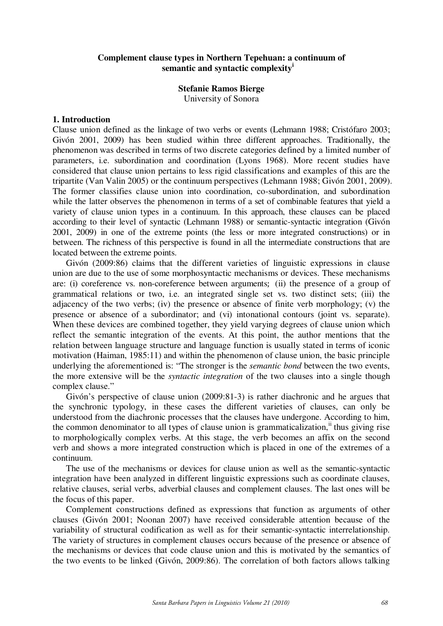# **Complement clause types in Northern Tepehuan: a continuum of semantic and syntactic complexity<sup>i</sup>**

## **Stefanie Ramos Bierge**

University of Sonora

#### **1. Introduction**

Clause union defined as the linkage of two verbs or events (Lehmann 1988; Cristófaro 2003; Givón 2001, 2009) has been studied within three different approaches. Traditionally, the phenomenon was described in terms of two discrete categories defined by a limited number of parameters, i.e. subordination and coordination (Lyons 1968). More recent studies have considered that clause union pertains to less rigid classifications and examples of this are the tripartite (Van Valin 2005) or the continuum perspectives (Lehmann 1988; Givón 2001, 2009). The former classifies clause union into coordination, co-subordination, and subordination while the latter observes the phenomenon in terms of a set of combinable features that yield a variety of clause union types in a continuum. In this approach, these clauses can be placed according to their level of syntactic (Lehmann 1988) or semantic-syntactic integration (Givón 2001, 2009) in one of the extreme points (the less or more integrated constructions) or in between. The richness of this perspective is found in all the intermediate constructions that are located between the extreme points.

Givón (2009:86) claims that the different varieties of linguistic expressions in clause union are due to the use of some morphosyntactic mechanisms or devices. These mechanisms are: (i) coreference vs. non-coreference between arguments (ii) the presence of a group of grammatical relations or two, i.e. an integrated single set vs. two distinct sets; (iii) the adjacency of the two verbs; (iv) the presence or absence of finite verb morphology; (v) the presence or absence of a subordinator; and (vi) intonational contours (joint vs. separate). When these devices are combined together, they yield varying degrees of clause union which reflect the semantic integration of the events. At this point, the author mentions that the relation between language structure and language function is usually stated in terms of iconic motivation (Haiman, 1985:11) and within the phenomenon of clause union, the basic principle underlying the aforementioned is: "The stronger is the *semantic bond* between the two events, the more extensive will be the *syntactic integration* of the two clauses into a single though complex clause."

Givón's perspective of clause union (2009:81-3) is rather diachronic and he argues that the synchronic typology, in these cases the different varieties of clauses, can only be understood from the diachronic processes that the clauses have undergone. According to him, the common denominator to all types of clause union is grammaticalization,<sup>ii</sup> thus giving rise to morphologically complex verbs. At this stage, the verb becomes an affix on the second verb and shows a more integrated construction which is placed in one of the extremes of a continuum.

The use of the mechanisms or devices for clause union as well as the semantic-syntactic integration have been analyzed in different linguistic expressions such as coordinate clauses, relative clauses, serial verbs, adverbial clauses and complement clauses. The last ones will be the focus of this paper.

Complement constructions defined as expressions that function as arguments of other clauses (Givón 2001; Noonan 2007) have received considerable attention because of the variability of structural codification as well as for their semantic-syntactic interrelationship. The variety of structures in complement clauses occurs because of the presence or absence of the mechanisms or devices that code clause union and this is motivated by the semantics of the two events to be linked (Givón, 2009:86). The correlation of both factors allows talking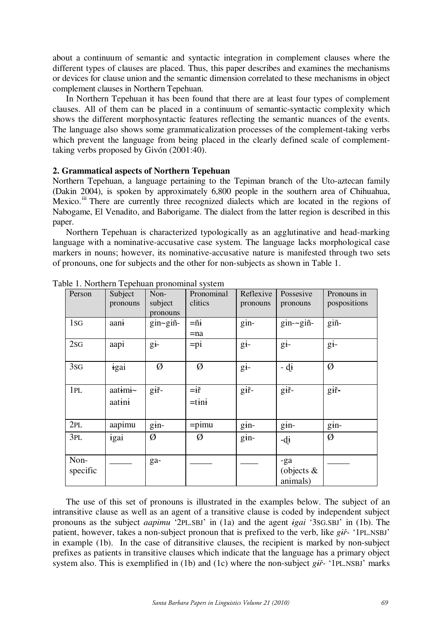about a continuum of semantic and syntactic integration in complement clauses where the different types of clauses are placed. Thus, this paper describes and examines the mechanisms or devices for clause union and the semantic dimension correlated to these mechanisms in object complement clauses in Northern Tepehuan.

In Northern Tepehuan it has been found that there are at least four types of complement clauses. All of them can be placed in a continuum of semantic-syntactic complexity which shows the different morphosyntactic features reflecting the semantic nuances of the events. The language also shows some grammaticalization processes of the complement-taking verbs which prevent the language from being placed in the clearly defined scale of complementtaking verbs proposed by Givón (2001:40).

### **2. Grammatical aspects of Northern Tepehuan**

Northern Tepehuan, a language pertaining to the Tepiman branch of the Uto-aztecan family (Dakin 2004), is spoken by approximately 6,800 people in the southern area of Chihuahua, Mexico.<sup>iii</sup> There are currently three recognized dialects which are located in the regions of Nabogame, El Venadito, and Baborigame. The dialect from the latter region is described in this paper.

Northern Tepehuan is characterized typologically as an agglutinative and head-marking language with a nominative-accusative case system. The language lacks morphological case markers in nouns; however, its nominative-accusative nature is manifested through two sets of pronouns, one for subjects and the other for non-subjects as shown in Table 1.

| Person           | Subject<br>pronouns | Non-<br>subject<br>pronouns | Pronominal<br>clitics      | Reflexive<br>pronouns | Possesive<br>pronouns            | Pronouns in<br>pospositions |
|------------------|---------------------|-----------------------------|----------------------------|-----------------------|----------------------------------|-----------------------------|
| 1 <sub>sG</sub>  | aani                | $gin\text{-}gin\text{-}$    | $=\tilde{n}$ i<br>$=$ na   | gin-                  | $gin-gin-$                       | giñ-                        |
| 2SG              | aapi                | gi-                         | $=pi$                      | $g_{1}$               | $g_{1}$                          | $g_{1}$                     |
| 3sG              | igai                | Ø                           | Ø                          | $g_{1}$               | $-di$                            | Ø                           |
| 1PL              | aatimi~<br>aatini   | giř-                        | $= i\check{r}$<br>$=$ tini | giř-                  | giř-                             | giř-                        |
| 2PL              | aapimu              | $g_{1}$ in-                 | $=$ pimu                   | $g_{1n-}$             | $g_{1n-}$                        | $g$ in-                     |
| 3PL              | igai                | Ø                           | Ø                          | $g_{1n}$              | $-di$                            | Ø                           |
| Non-<br>specific |                     | ga-                         |                            |                       | -ga<br>(objects $\&$<br>animals) |                             |

Table 1. Northern Tepehuan pronominal system

The use of this set of pronouns is illustrated in the examples below. The subject of an intransitive clause as well as an agent of a transitive clause is coded by independent subject pronouns as the subject *aapimu* '2PL.SBJ' in (1a) and the agent *igai* '3SG.SBJ' in (1b). The patient, however, takes a non-subject pronoun that is prefixed to the verb, like *gi*<sup>2</sup>- '1PL.NSBJ' in example (1b). In the case of ditransitive clauses, the recipient is marked by non-subject prefixes as patients in transitive clauses which indicate that the language has a primary object system also. This is exemplified in (1b) and (1c) where the non-subject *gi-* '1PL.NSBJ' marks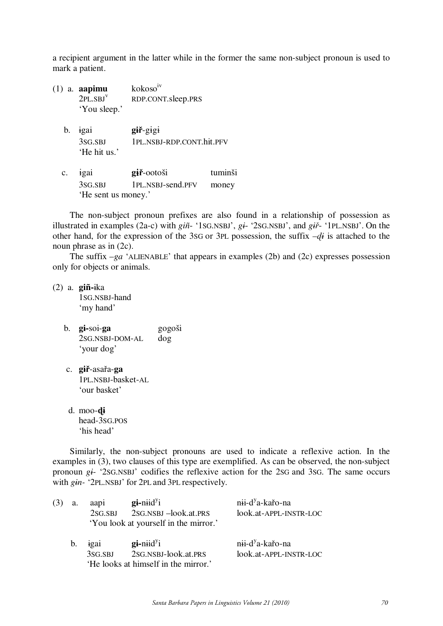a recipient argument in the latter while in the former the same non-subject pronoun is used to mark a patient.

- (1) a. **aapimu** kokosoiv 2PL.SBJ<sup>v</sup> RDP.CONT.sleep.PRS 'You sleep.'
	- b. igai **gir-gigi**  3SG.SBJ 1PL.NSBJ-RDP.CONT.hit.PFV 'He hit us.'
	- c. igai **giř**-ootoši tuminši 3SG.SBJ 1PL.NSBJ-send.PFV money 'He sent us money.'

The non-subject pronoun prefixes are also found in a relationship of possession as illustrated in examples (2a-c) with *giñ*- '1SG.NSBJ', *gi*- '2SG.NSBJ', and *gi*- '1PL.NSBJ'. On the other hand, for the expression of the 3SG or 3PL possession, the suffix *–i* is attached to the noun phrase as in (2c).

The suffix  $-ga$  'ALIENABLE' that appears in examples (2b) and (2c) expresses possession only for objects or animals.

(2) a. **giñ-**ika 1SG.NSBJ-hand 'my hand'

- b. **gi-**soi-**ga** gogoši 2SG.NSBJ-DOM-AL dog 'your dog'
- c. **giř**-asařa-**ga** 1PL.NSBJ-basket-AL 'our basket'
- d. moo-**i** head-3SG.POS 'his head'

Similarly, the non-subject pronouns are used to indicate a reflexive action. In the examples in (3), two clauses of this type are exemplified. As can be observed, the non-subject pronoun *gi-* '2SG.NSBJ' codifies the reflexive action for the 2SG and 3SG. The same occurs with *gin-* '2PL.NSBJ' for 2PL and 3PL respectively.

| (3) | a. | aapi                                 | $\mathbf{g}$ i-niid <sup>y</sup> i    | nii-d <sup>y</sup> a-kařo-na |  |  |  |
|-----|----|--------------------------------------|---------------------------------------|------------------------------|--|--|--|
|     |    | 2SG.SBJ                              | 2SG.NSBJ-look.at.PRS                  | look.at-APPL-INSTR-LOC       |  |  |  |
|     |    |                                      | 'You look at yourself in the mirror.' |                              |  |  |  |
|     | b. | igai                                 | $\mathbf{g}$ i-niid <sup>y</sup> i    | nii-d <sup>y</sup> a-kařo-na |  |  |  |
|     |    | 3SG.SBJ                              | 2SG.NSBJ-look.at.PRS                  | look.at-APPL-INSTR-LOC       |  |  |  |
|     |    | 'He looks at himself in the mirror.' |                                       |                              |  |  |  |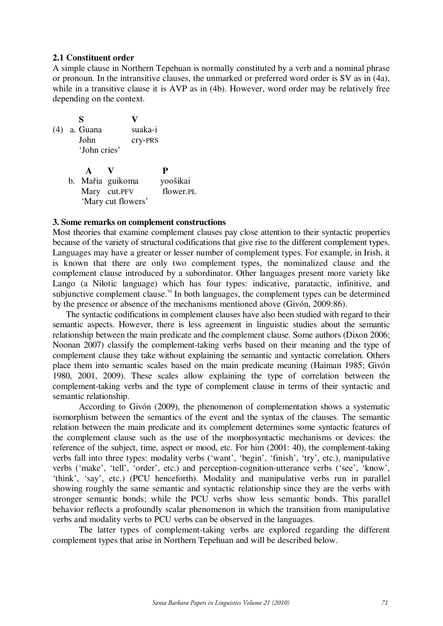## **2.1 Constituent order**

A simple clause in Northern Tepehuan is normally constituted by a verb and a nominal phrase or pronoun. In the intransitive clauses, the unmarked or preferred word order is SV as in (4a), while in a transitive clause it is AVP as in (4b). However, word order may be relatively free depending on the context.

|  | S                |                    |         |           |
|--|------------------|--------------------|---------|-----------|
|  | (4) a. Guana     |                    | suaka-i |           |
|  | John             |                    | cry-PRS |           |
|  | 'John cries'     |                    |         |           |
|  | $\mathbf{A}$     |                    |         | P         |
|  | b. Mařia guikoma |                    |         | yoošikai  |
|  | Mary cut.PFV     |                    |         | flower.PL |
|  |                  | 'Mary cut flowers' |         |           |

#### **3. Some remarks on complement constructions**

Most theories that examine complement clauses pay close attention to their syntactic properties because of the variety of structural codifications that give rise to the different complement types. Languages may have a greater or lesser number of complement types. For example, in Irish, it is known that there are only two complement types, the nominalized clause and the complement clause introduced by a subordinator. Other languages present more variety like Lango (a Nilotic language) which has four types: indicative, paratactic, infinitive, and subjunctive complement clause. $\overline{v}$  In both languages, the complement types can be determined by the presence or absence of the mechanisms mentioned above (Givón, 2009:86).

The syntactic codifications in complement clauses have also been studied with regard to their semantic aspects. However, there is less agreement in linguistic studies about the semantic relationship between the main predicate and the complement clause. Some authors (Dixon 2006; Noonan 2007) classify the complement-taking verbs based on their meaning and the type of complement clause they take without explaining the semantic and syntactic correlation. Others place them into semantic scales based on the main predicate meaning (Haiman 1985; Givón 1980, 2001, 2009). These scales allow explaining the type of correlation between the complement-taking verbs and the type of complement clause in terms of their syntactic and semantic relationship.

 According to Givón (2009), the phenomenon of complementation shows a systematic isomorphism between the semantics of the event and the syntax of the clauses. The semantic relation between the main predicate and its complement determines some syntactic features of the complement clause such as the use of the morphosyntactic mechanisms or devices: the reference of the subject, time, aspect or mood, etc. For him (2001: 40), the complement-taking verbs fall into three types: modality verbs ('want', 'begin', 'finish', 'try', etc.), manipulative verbs ('make', 'tell', 'order', etc.) and perception-cognition-utterance verbs ('see', 'know', 'think', 'say', etc.) (PCU henceforth). Modality and manipulative verbs run in parallel showing roughly the same semantic and syntactic relationship since they are the verbs with stronger semantic bonds; while the PCU verbs show less semantic bonds. This parallel behavior reflects a profoundly scalar phenomenon in which the transition from manipulative verbs and modality verbs to PCU verbs can be observed in the languages.

 The latter types of complement-taking verbs are explored regarding the different complement types that arise in Northern Tepehuan and will be described below.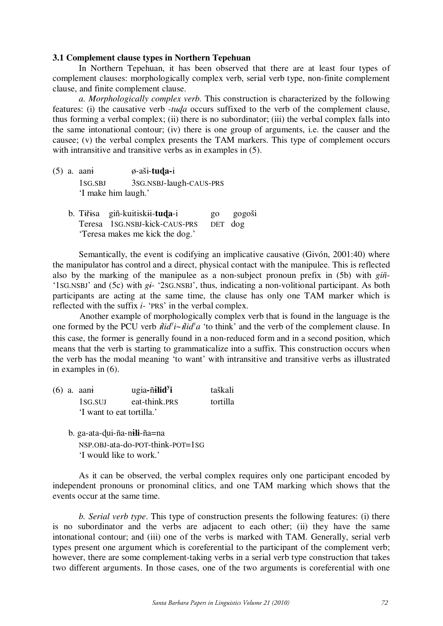## **3.1 Complement clause types in Northern Tepehuan**

In Northern Tepehuan, it has been observed that there are at least four types of complement clauses: morphologically complex verb, serial verb type, non-finite complement clause, and finite complement clause.

*a. Morphologically complex verb.* This construction is characterized by the following features: (i) the causative verb -*tua* occurs suffixed to the verb of the complement clause, thus forming a verbal complex; (ii) there is no subordinator; (iii) the verbal complex falls into the same intonational contour; (iv) there is one group of arguments, i.e. the causer and the causee; (v) the verbal complex presents the TAM markers. This type of complement occurs with intransitive and transitive verbs as in examples in  $(5)$ .

- $(5)$  a. aani  $\phi$ -aši-**tuda**-i 1SG.SBJ 3SG.NSBJ-laugh-CAUS-PRS 'I make him laugh.'
	- b. Tiisa giñ-kuitiskii-**tua**-i go gogoši Teresa 1SG.NSBJ-kick-CAUS-PRS DET dog 'Teresa makes me kick the dog.'

 Semantically, the event is codifying an implicative causative (Givón, 2001:40) where the manipulator has control and a direct, physical contact with the manipulee. This is reflected also by the marking of the manipulee as a non-subject pronoun prefix in (5b) with *giñ*- '1SG.NSBJ' and (5c) with *gi-* '2SG.NSBJ', thus, indicating a non-volitional participant. As both participants are acting at the same time, the clause has only one TAM marker which is reflected with the suffix *i-* 'PRS' in the verbal complex.

 Another example of morphologically complex verb that is found in the language is the one formed by the PCU verb  $\hat{H} \hat{i} d^{\gamma} i \sim \hat{H} \hat{i} d^{\gamma} a$  'to think' and the verb of the complement clause. In this case, the former is generally found in a non-reduced form and in a second position, which means that the verb is starting to grammaticalize into a suffix. This construction occurs when the verb has the modal meaning 'to want' with intransitive and transitive verbs as illustrated in examples in (6).

- (6) a. aani ugia-ñilid<sup>y</sup>i **i** taškali 1SG.SUJ eat-think.PRS tortilla 'I want to eat tortilla.'
	- b. ga-ata-ui-ña-n**li**-ña=na NSP.OBJ-ata-do-POT-think-POT=1SG 'I would like to work.'

As it can be observed, the verbal complex requires only one participant encoded by independent pronouns or pronominal clitics, and one TAM marking which shows that the events occur at the same time.

*b. Serial verb type*. This type of construction presents the following features: (i) there is no subordinator and the verbs are adjacent to each other; (ii) they have the same intonational contour; and (iii) one of the verbs is marked with TAM. Generally, serial verb types present one argument which is coreferential to the participant of the complement verb; however, there are some complement-taking verbs in a serial verb type construction that takes two different arguments. In those cases, one of the two arguments is coreferential with one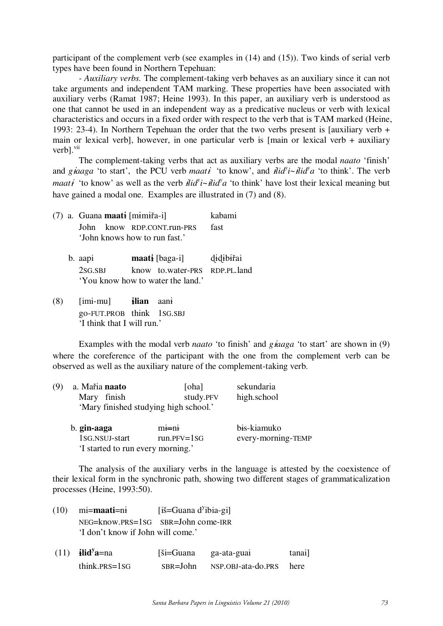participant of the complement verb (see examples in (14) and (15)). Two kinds of serial verb types have been found in Northern Tepehuan:

*- Auxiliary verbs.* The complement-taking verb behaves as an auxiliary since it can not take arguments and independent TAM marking. These properties have been associated with auxiliary verbs (Ramat 1987; Heine 1993). In this paper, an auxiliary verb is understood as one that cannot be used in an independent way as a predicative nucleus or verb with lexical characteristics and occurs in a fixed order with respect to the verb that is TAM marked (Heine, 1993: 23-4). In Northern Tepehuan the order that the two verbs present is [auxiliary verb + main or lexical verb], however, in one particular verb is [main or lexical verb + auxiliary verb].<sup>vii</sup>

The complement-taking verbs that act as auxiliary verbs are the modal *naato* 'finish' and *giaaga* 'to start', the PCU verb *maati* 'to know', and  $\hat{dl}d\hat{v}i - \hat{dl}d\hat{v}a$  'to think'. The verb *maati* 'to know' as well as the verb  $\hat{dl} \cdot \hat{dl} \cdot \hat{dl}$ ' to think' have lost their lexical meaning but have gained a modal one. Examples are illustrated in (7) and (8).

|  | (7) a. Guana maati [mimiřa-i] |  |                                   | kabami    |
|--|-------------------------------|--|-----------------------------------|-----------|
|  | John                          |  | know RDP.CONT.run-PRS             | fast      |
|  | 'John knows how to run fast.' |  |                                   |           |
|  | b. aapi                       |  | <b>maati</b> [baga-i]             | didibirai |
|  | 2SG.SBJ                       |  | know to.water-PRS RDP.PL.land     |           |
|  |                               |  | 'You know how to water the land.' |           |
|  |                               |  |                                   |           |

(8) [imi-mu] **lian** aan go-FUT.PROB think 1SG.SBJ 'I think that I will run.'

 Examples with the modal verb *naato* 'to finish' and *gaaga* 'to start' are shown in (9) where the coreference of the participant with the one from the complement verb can be observed as well as the auxiliary nature of the complement-taking verb.

| (9) | a. Mařia naato                                                   | [oha]         | sekundaria           |
|-----|------------------------------------------------------------------|---------------|----------------------|
|     | Mary finish                                                      | study.PFV     | high.school          |
|     | 'Mary finished studying high school.'                            |               |                      |
|     | $\mathbf{L}$ $\mathbf{L}$ $\mathbf{L}$ $\mathbf{L}$ $\mathbf{L}$ | الأعدا الأعمد | المعادد ومنحلة المفط |

| b. gin-aaga                              | $m=1$           | bis-kiamuko        |
|------------------------------------------|-----------------|--------------------|
| 1 <sub>SG</sub> .N <sub>SUJ</sub> -start | $run.PFV = lSG$ | every-morning-TEMP |
| I started to run every morning.'         |                 |                    |

 The analysis of the auxiliary verbs in the language is attested by the coexistence of their lexical form in the synchronic path, showing two different stages of grammaticalization processes (Heine, 1993:50).

| $(10)$ mi= <b>maati</b> =ni            | [iš=Guana d <sup>y</sup> ibia-gi] |
|----------------------------------------|-----------------------------------|
| $NEG=know.PRS=1SG$ $SBR=John$ come-IRR |                                   |
| 'I don't know if John will come.'      |                                   |

| $(11)$ ilid <sup>y</sup> a=na | [ši=Guana]   | ga-ata-guai             | tanai] |
|-------------------------------|--------------|-------------------------|--------|
| $think.PRS = 1SG$             | $SBR = John$ | NSP.OBJ-ata-do.PRS here |        |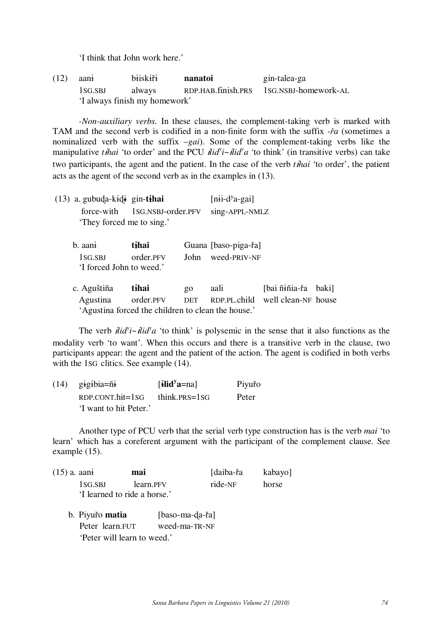'I think that John work here.'

(12) aan bisk **nanatoi** gin-talea-ga 1SG.SBJ always RDP.HAB.finish.PRS 1SG.NSBJ-homework-AL 'I always finish my homework'

*-Non-auxiliary verbs.* In these clauses, the complement-taking verb is marked with TAM and the second verb is codified in a non-finite form with the suffix *-ra* (sometimes a nominalized verb with the suffix –*gai*). Some of the complement-taking verbs like the manipulative *thai* 'to order' and the PCU  $\mathbf{H} \cdot \mathbf{d} \cdot \mathbf{d}$ ' a 'to think' (in transitive verbs) can take two participants, the agent and the patient. In the case of the verb *thai* 'to order', the patient acts as the agent of the second verb as in the examples in (13).

| $(13)$ a. gubuda-kidi gin-tihai |                                                    |                 | $[nii-dya-gai]$      |                                  |       |
|---------------------------------|----------------------------------------------------|-----------------|----------------------|----------------------------------|-------|
| force-with                      | 1SG.NSBJ-order.PFV                                 |                 | sing-APPL-NMLZ       |                                  |       |
| 'They forced me to sing.'       |                                                    |                 |                      |                                  |       |
| b. aani                         | tihai                                              |                 | Guana [baso-piga-řa] |                                  |       |
| 1SG.SBJ                         | order.PFV                                          | John            | weed-PRIV-NF         |                                  |       |
| 'I forced John to weed.'        |                                                    |                 |                      |                                  |       |
| c. Aguštiña                     | tihai                                              | $\overline{20}$ | aali                 | [bai ñɨñia-řa                    | baki] |
| Agustina                        | order.PFV                                          | <b>DET</b>      |                      | RDP.PL.child well clean-NF house |       |
|                                 | 'Agustina forced the children to clean the house.' |                 |                      |                                  |       |

The verb  $\mathbf{i} \mathbf{i} d^{\gamma} \mathbf{i} \sim \mathbf{i} \mathbf{i} d^{\gamma} a$  'to think' is polysemic in the sense that it also functions as the modality verb 'to want'. When this occurs and there is a transitive verb in the clause, two participants appear: the agent and the patient of the action. The agent is codified in both verbs with the 1SG clitics. See example (14).

| $(14)$ gigibia= $\tilde{n}$ i | [ilid <sup>y</sup> a=na] | Piyuřo |
|-------------------------------|--------------------------|--------|
| $RDP$ .CONT.hit= $1SG$        | think. $PRS = 1SG$       | Peter  |
| 'I want to hit Peter.'        |                          |        |

 Another type of PCU verb that the serial verb type construction has is the verb *mai* 'to learn' which has a coreferent argument with the participant of the complement clause. See example (15).

- (15) a. aan **mai mai** [daiba-řa kabayo] 1SG.SBJ learn.PFV ride-NF horse 'I learned to ride a horse.'
	- b. Piyuřo **matia** [baso-ma-da-řa] Peter learn.FUT weed-ma-TR-NF 'Peter will learn to weed.'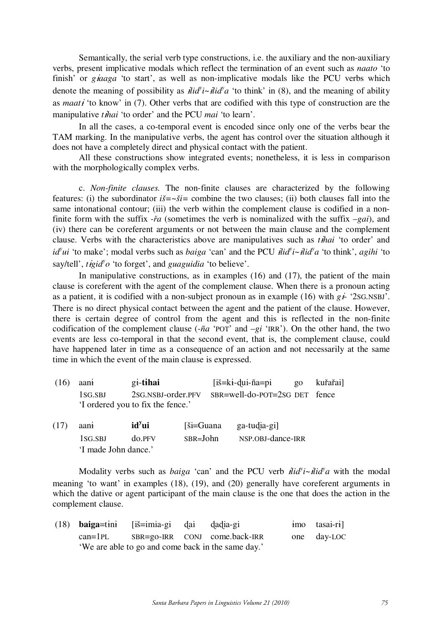Semantically, the serial verb type constructions, i.e. the auxiliary and the non-auxiliary verbs, present implicative modals which reflect the termination of an event such as *naato* 'to finish' or *giaaga* 'to start', as well as non-implicative modals like the PCU verbs which denote the meaning of possibility as  $\mathbf{H} \cdot \mathbf{d} \cdot \mathbf{d} \cdot \mathbf{d} \cdot \mathbf{d}$  and the meaning of ability as *maat* 'to know' in (7). Other verbs that are codified with this type of construction are the manipulative *thai* 'to order' and the PCU *mai* 'to learn'.

In all the cases, a co-temporal event is encoded since only one of the verbs bear the TAM marking. In the manipulative verbs, the agent has control over the situation although it does not have a completely direct and physical contact with the patient.

All these constructions show integrated events; nonetheless, it is less in comparison with the morphologically complex verbs.

c. *Non-finite clauses.* The non-finite clauses are characterized by the following features: (i) the subordinator  $i\ddot{s} = \gamma \ddot{s}i =$  combine the two clauses; (ii) both clauses fall into the same intonational contour; (iii) the verb within the complement clause is codified in a nonfinite form with the suffix  $-i\alpha$  (sometimes the verb is nominalized with the suffix  $-gai$ ), and (iv) there can be coreferent arguments or not between the main clause and the complement clause. Verbs with the characteristics above are manipulatives such as *thai* 'to order' and *id<sup><i>y*</sup>ui 'to make'; modal verbs such as *baiga* 'can' and the PCU *ilid<sup>y</sup>i*~*ilid<sup>y</sup>a* 'to think', *agihi* 'to say/tell', *tigid'o* 'to forget', and *guaguidia* 'to believe'.

In manipulative constructions, as in examples (16) and (17), the patient of the main clause is coreferent with the agent of the complement clause. When there is a pronoun acting as a patient, it is codified with a non-subject pronoun as in example (16) with  $g\dot{f}$  '2sG.NSBJ'. There is no direct physical contact between the agent and the patient of the clause. However, there is certain degree of control from the agent and this is reflected in the non-finite codification of the complement clause (-*ña* 'POT' and –*gi* 'IRR'). On the other hand, the two events are less co-temporal in that the second event, that is, the complement clause, could have happened later in time as a consequence of an action and not necessarily at the same time in which the event of the main clause is expressed.

(16) aan **gi-tihai** [iš=ki-dui-ña=pi go kuřařai] 1SG.SBJ 2SG.NSBJ-order.PFV SBR=well-do-POT=2SG DET fence 'I ordered you to fix the fence.'

| (17) | aant                 | id <sup>y</sup> ui |              | $[\text{Si}=Guana$ ga-tudia-gi |
|------|----------------------|--------------------|--------------|--------------------------------|
|      | 1SG.SBJ              | do.PFV             | $SBR = John$ | NSP.OBJ-dance-IRR              |
|      | 'I made John dance.' |                    |              |                                |

Modality verbs such as *baiga* 'can' and the PCU verb  $\mathring{H}i\mathring{d}i - \mathring{H}i\mathring{d}a$  with the modal meaning 'to want' in examples (18), (19), and (20) generally have coreferent arguments in which the dative or agent participant of the main clause is the one that does the action in the complement clause.

|             | (18) <b>baiga=tini</b> [iš=imia-gi dai dadia-gi |                                                    | imo tasai-ri |
|-------------|-------------------------------------------------|----------------------------------------------------|--------------|
| $can = lPL$ |                                                 | SBR=go-IRR CONJ come.back-IRR                      | one day-LOC  |
|             |                                                 | 'We are able to go and come back in the same day.' |              |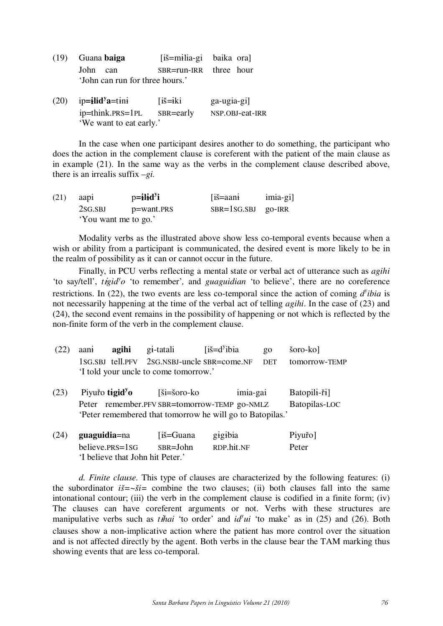- (19) Guana **baiga** [iš=mlia-gi baika ora] John can SBR=run-IRR three hour 'John can run for three hours.'
- $(20)$  ip=**ilid**<sup>y</sup>**a**=tini  $[i\check{\sigma} = i\text{k}i$  ga-ugia-gi] ip=think.PRS=1PL SBR=early NSP.OBJ-eat-IRR 'We want to eat early.'

In the case when one participant desires another to do something, the participant who does the action in the complement clause is coreferent with the patient of the main clause as in example (21). In the same way as the verbs in the complement clause described above, there is an irrealis suffix –*gi.*

| (21) | aap <sub>1</sub>     | $p=$ ilid <sup>y</sup> i | [iš=aani               | imia-gi] |
|------|----------------------|--------------------------|------------------------|----------|
|      | 2SG.SBJ              | p=want.PRS               | $SBR = 1SG.SBJ$ go-IRR |          |
|      | 'You want me to go.' |                          |                        |          |

 Modality verbs as the illustrated above show less co-temporal events because when a wish or ability from a participant is communicated, the desired event is more likely to be in the realm of possibility as it can or cannot occur in the future.

 Finally, in PCU verbs reflecting a mental state or verbal act of utterance such as *agihi* 'to say/tell', *tigid'o* 'to remember', and *guaguidian* 'to believe', there are no coreference restrictions. In (22), the two events are less co-temporal since the action of coming  $d^{\gamma}$ *ibia* is not necessarily happening at the time of the verbal act of telling *agihi*. In the case of (23) and (24), the second event remains in the possibility of happening or not which is reflected by the non-finite form of the verb in the complement clause.

|  | $(22)$ aani <b>agihi</b> gi-tatali |                                       | $\overrightarrow{is} = d^y$ ibia | go šoro-ko]                                                   |
|--|------------------------------------|---------------------------------------|----------------------------------|---------------------------------------------------------------|
|  |                                    |                                       |                                  | 1SG.SBJ tell.PFV 2SG.NSBJ-uncle SBR=come.NF DET tomorrow-TEMP |
|  |                                    | If told your uncle to come tomorrow.' |                                  |                                                               |

 $(23)$  Piyuro **tigid**<sup>y</sup>**o** [ši=šoro-ko imia-gai Batopili-ři] Peter remember.PFV SBR=tomorrow-TEMP go-NMLZ Batopilas-LOC 'Peter remembered that tomorrow he will go to Batopilas.'

| (24) | <b>guaguidia=</b> na             | [iš=Guana] | gigibia    | Piyuřo] |
|------|----------------------------------|------------|------------|---------|
|      | believe. $PRS = 1SG$             | SBR=John   | RDP.hit.NF | Peter   |
|      | 'I believe that John hit Peter.' |            |            |         |

*d. Finite clause.* This type of clauses are characterized by the following features: (i) the subordinator  $i\ddot{s}=-\dot{s}i=$  combine the two clauses; (ii) both clauses fall into the same intonational contour; (iii) the verb in the complement clause is codified in a finite form; (iv) The clauses can have coreferent arguments or not. Verbs with these structures are manipulative verbs such as *thai* 'to order' and  $id^{\gamma}ui$  'to make' as in (25) and (26). Both clauses show a non-implicative action where the patient has more control over the situation and is not affected directly by the agent. Both verbs in the clause bear the TAM marking thus showing events that are less co-temporal.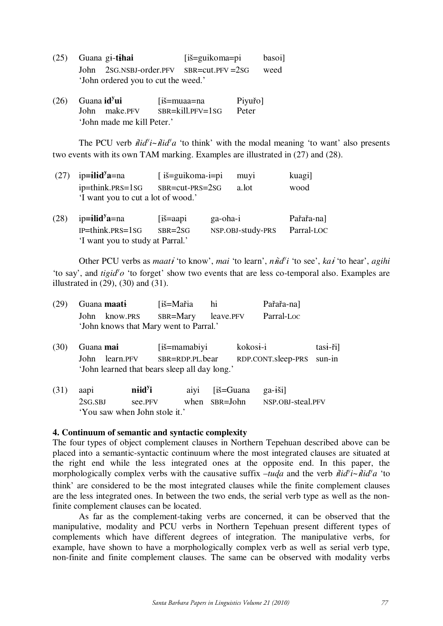|  | $(25)$ Guana gi-tihai                   | [iš=guikoma=pi | basoi] |
|--|-----------------------------------------|----------------|--------|
|  | John 2SG.NSBJ-order.PFV SBR=cut.PFV=2SG |                | weed   |
|  | 'John ordered you to cut the weed.'     |                |        |

(26) Guana **id<sup>y</sup>** [iš=muaa=na Piyuřo] John make.PFV SBR=kill.PFV=1SG Peter 'John made me kill Peter.'

The PCU verb  $\hat{H} \hat{i} d^{\gamma} i \sim \hat{H} \hat{i} d^{\gamma} a$  'to think' with the modal meaning 'to want' also presents two events with its own TAM marking. Examples are illustrated in (27) and (28).

| (27) | $ip=$ ilid <sup>y</sup> a=na                           |                               | [ iš=guikoma-i=pi<br>muyi |                   | kuagi]     |
|------|--------------------------------------------------------|-------------------------------|---------------------------|-------------------|------------|
|      | ip=think.prs=1sG<br>'I want you to cut a lot of wood.' | SBR=cut-PRS=2SG               |                           | a.lot             | wood       |
| (28) | $ip = i$ lid <sup>y</sup> a=na                         | $\overline{\text{is}} =$ aapi | ga-oha-i                  |                   | Pařařa-na] |
|      | $IP =$ think. $PRS = 1SG$                              | $SBR = 2SG$                   |                           | NSP.OBJ-study-PRS | Parral-LOC |
|      | 'I want you to study at Parral.'                       |                               |                           |                   |            |

Other PCU verbs as *maati* 'to know', *mai* 'to learn', *niid'i* 'to see', *kai* 'to hear', *agihi* 'to say', and *tigid'o* 'to forget' show two events that are less co-temporal also. Examples are illustrated in  $(29)$ ,  $(30)$  and  $(31)$ .

|                                        | $(29)$ Guana maati | ∫iš=Mařia                                   | - hi | Pařařa-na] |
|----------------------------------------|--------------------|---------------------------------------------|------|------------|
|                                        |                    | John know.prs SBR=Mary leave.prv Parral-Loc |      |            |
| 'John knows that Mary went to Parral.' |                    |                                             |      |            |

- (30) Guana **mai** [iš=mamabiyi kokosi-i tasi-ri] John learn.PFV SBR=RDP.PL.bear RDP.CONT.sleep-PRS sun-in 'John learned that bears sleep all day long.'
- $(31)$  aapi **niid**<sup>y</sup>**i i** aiyi [iš=Guana ga-ši] 2SG.SBJ see.PFV when SBR=John NSP.OBJ-steal.PFV 'You saw when John stole it.'

# **4. Continuum of semantic and syntactic complexity**

The four types of object complement clauses in Northern Tepehuan described above can be placed into a semantic-syntactic continuum where the most integrated clauses are situated at the right end while the less integrated ones at the opposite end. In this paper, the morphologically complex verbs with the causative suffix  $-iuqa$  and the verb  $\ddot{dl}d\ddot{v} - \ddot{dl}d\dot{v}a$  'to think' are considered to be the most integrated clauses while the finite complement clauses are the less integrated ones. In between the two ends, the serial verb type as well as the nonfinite complement clauses can be located.

 As far as the complement-taking verbs are concerned, it can be observed that the manipulative, modality and PCU verbs in Northern Tepehuan present different types of complements which have different degrees of integration. The manipulative verbs, for example, have shown to have a morphologically complex verb as well as serial verb type, non-finite and finite complement clauses. The same can be observed with modality verbs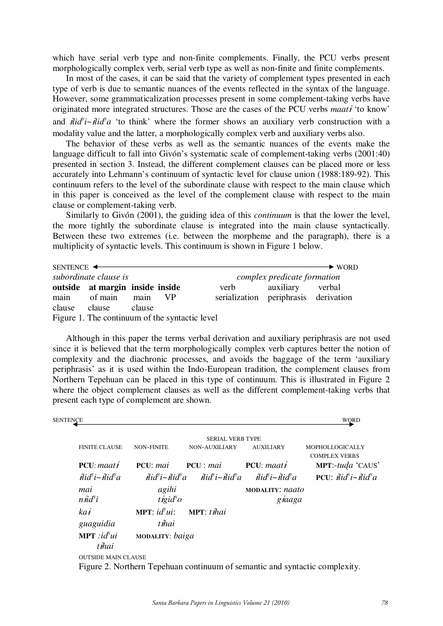which have serial verb type and non-finite complements. Finally, the PCU verbs present morphologically complex verb, serial verb type as well as non-finite and finite complements.

In most of the cases, it can be said that the variety of complement types presented in each type of verb is due to semantic nuances of the events reflected in the syntax of the language. However, some grammaticalization processes present in some complement-taking verbs have originated more integrated structures. Those are the cases of the PCU verbs *maati* 'to know' and  $\ddot{dl} \dot{d}$ <sup>*i*</sup> $i\dot{d}$ <sup>*ia*</sup> $d$ <sup>*'a*</sup> to think' where the former shows an auxiliary verb construction with a modality value and the latter, a morphologically complex verb and auxiliary verbs also.

The behavior of these verbs as well as the semantic nuances of the events make the language difficult to fall into Givón's systematic scale of complement-taking verbs (2001:40) presented in section 3. Instead, the different complement clauses can be placed more or less accurately into Lehmann's continuum of syntactic level for clause union (1988:189-92). This continuum refers to the level of the subordinate clause with respect to the main clause which in this paper is conceived as the level of the complement clause with respect to the main clause or complement-taking verb.

Similarly to Givón (2001), the guiding idea of this *continuum* is that the lower the level, the more tightly the subordinate clause is integrated into the main clause syntactically. Between these two extremes (i.e. between the morpheme and the paragraph), there is a multiplicity of syntactic levels. This continuum is shown in Figure 1 below.

| SENTENCE <                                     |                                 |        |                             |                                      |           | $\blacktriangleright$ WORD |
|------------------------------------------------|---------------------------------|--------|-----------------------------|--------------------------------------|-----------|----------------------------|
| subordinate clause is                          |                                 |        | complex predicate formation |                                      |           |                            |
|                                                | outside at margin inside inside |        |                             | verb                                 | auxiliary | verbal                     |
| main                                           | of main                         | main   | VР                          | serialization periphrasis derivation |           |                            |
| clause                                         | clause                          | clause |                             |                                      |           |                            |
| Figure 1. The continuum of the syntactic level |                                 |        |                             |                                      |           |                            |

Although in this paper the terms verbal derivation and auxiliary periphrasis are not used since it is believed that the term morphologically complex verb captures better the notion of complexity and the diachronic processes, and avoids the baggage of the term 'auxiliary periphrasis' as it is used within the Indo-European tradition, the complement clauses from Northern Tepehuan can be placed in this type of continuum. This is illustrated in Figure 2 where the object complement clauses as well as the different complement-taking verbs that present each type of complement are shown.

| SENTENCE |                                                          |                                                        |                                                                                                                                                   |                                                                             | WORD                                                                                                                                  |
|----------|----------------------------------------------------------|--------------------------------------------------------|---------------------------------------------------------------------------------------------------------------------------------------------------|-----------------------------------------------------------------------------|---------------------------------------------------------------------------------------------------------------------------------------|
|          |                                                          |                                                        | <b>SERIAL VERB TYPE</b>                                                                                                                           |                                                                             |                                                                                                                                       |
|          | <b>FINITE CLAUSE</b>                                     | <b>NON-FINITE</b>                                      | NON-AUXILIARY                                                                                                                                     | <b>AUXILIARY</b>                                                            | MOPHOLLOGICALLY<br><b>COMPLEX VERBS</b>                                                                                               |
|          | $PCU: \text{maat } i$                                    | $PCU:$ mai                                             | $PCU$ : mai                                                                                                                                       | $PCU: \text{maat } i$                                                       | <b>MPT:</b> -tuda 'CAUS'                                                                                                              |
|          | $\ddot{dl} \dot{d}^{\nu}$ i~ $\ddot{dl} \dot{d}^{\nu} a$ |                                                        | $\ddot{dl} \dot{d} \ddot{d} \dot{d} - \ddot{dl} \dot{d} \ddot{d} a$ $\ddot{dl} \dot{d} \ddot{d} \dot{d} a$ $\ddot{dl} \dot{d} \ddot{d} \dot{d} a$ |                                                                             | <b>PCU</b> : $\mathbf{H} \mathbf{i} \mathbf{d}^{\mathbf{y}} \mathbf{i} \sim \mathbf{H} \mathbf{i} \mathbf{d}^{\mathbf{y}} \mathbf{d}$ |
|          | mai<br>$n \ddot{u} d^{\gamma} i$                         | agihi<br>$t$ <i>igid</i> <sup><math>v</math></sup> $o$ |                                                                                                                                                   | <b>MODALITY: naato</b><br>giaaga                                            |                                                                                                                                       |
|          | kai                                                      | <b>MPT</b> : $id^yui$ :                                | <b>MPT</b> : thai                                                                                                                                 |                                                                             |                                                                                                                                       |
|          | guaguidia                                                | t ihai                                                 |                                                                                                                                                   |                                                                             |                                                                                                                                       |
|          | <b>MPT</b> : $id^{\nu}ui$<br>tihai                       | MODALITY: baiga                                        |                                                                                                                                                   |                                                                             |                                                                                                                                       |
|          | <b>OUTSIDE MAIN CLAUSE</b>                               |                                                        |                                                                                                                                                   |                                                                             |                                                                                                                                       |
|          |                                                          |                                                        |                                                                                                                                                   | Figure 2. Northern Tepehuan continuum of semantic and syntactic complexity. |                                                                                                                                       |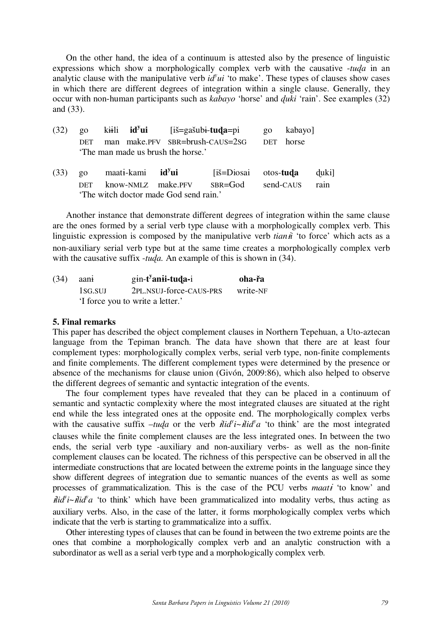On the other hand, the idea of a continuum is attested also by the presence of linguistic expressions which show a morphologically complex verb with the causative -*tua* in an analytic clause with the manipulative verb  $id^yui$  'to make'. These types of clauses show cases in which there are different degrees of integration within a single clause. Generally, they occur with non-human participants such as *kabayo* 'horse' and *uki* 'rain'. See examples (32) and (33).

| (32) | $\overline{20}$ | $k\ddot{+}$ ii id <sup>y</sup> ui [iš=gašubi-tuda=pi                 |             | $\overline{20}$ | kabayo]   |       |
|------|-----------------|----------------------------------------------------------------------|-------------|-----------------|-----------|-------|
|      | DET             | man make.PFV SBR=brush-CAUS=2SG<br>The man made us brush the horse.' |             | DET             | horse     |       |
| (33) | $\overline{20}$ | maati-kami id <sup>y</sup> ui                                        | [iš=Diosai  | otos-tuda       |           | duki] |
|      | DET             | know-NMLZ make.PFV                                                   | $SBR = God$ |                 | send-CAUS | rain  |
|      |                 | 'The witch doctor made God send rain.'                               |             |                 |           |       |

Another instance that demonstrate different degrees of integration within the same clause are the ones formed by a serial verb type clause with a morphologically complex verb. This linguistic expression is composed by the manipulative verb *tiani* 'to force' which acts as a non-auxiliary serial verb type but at the same time creates a morphologically complex verb with the causative suffix -*tua.* An example of this is shown in (34).

| (34) | aani                             | $gin-tyani-tuda-i$      | oha-řa   |
|------|----------------------------------|-------------------------|----------|
|      | 1sg.sul                          | 2PL.NSUJ-force-CAUS-PRS | write-NF |
|      | 'I force you to write a letter.' |                         |          |

# **5. Final remarks**

This paper has described the object complement clauses in Northern Tepehuan, a Uto-aztecan language from the Tepiman branch. The data have shown that there are at least four complement types: morphologically complex verbs, serial verb type, non-finite complements and finite complements. The different complement types were determined by the presence or absence of the mechanisms for clause union (Givón, 2009:86), which also helped to observe the different degrees of semantic and syntactic integration of the events.

The four complement types have revealed that they can be placed in a continuum of semantic and syntactic complexity where the most integrated clauses are situated at the right end while the less integrated ones at the opposite end. The morphologically complex verbs with the causative suffix  $-tuqa$  or the verb  $\ddot{dl}d\ddot{v}i-\ddot{dl}d\dot{v}a$  'to think' are the most integrated clauses while the finite complement clauses are the less integrated ones. In between the two ends, the serial verb type -auxiliary and non-auxiliary verbs- as well as the non-finite complement clauses can be located. The richness of this perspective can be observed in all the intermediate constructions that are located between the extreme points in the language since they show different degrees of integration due to semantic nuances of the events as well as some processes of grammaticalization. This is the case of the PCU verbs *maati* 'to know' and  $\mathbf{h}$ id'i~ $\mathbf{h}$ id'a 'to think' which have been grammaticalized into modality verbs, thus acting as auxiliary verbs. Also, in the case of the latter, it forms morphologically complex verbs which indicate that the verb is starting to grammaticalize into a suffix.

Other interesting types of clauses that can be found in between the two extreme points are the ones that combine a morphologically complex verb and an analytic construction with a subordinator as well as a serial verb type and a morphologically complex verb.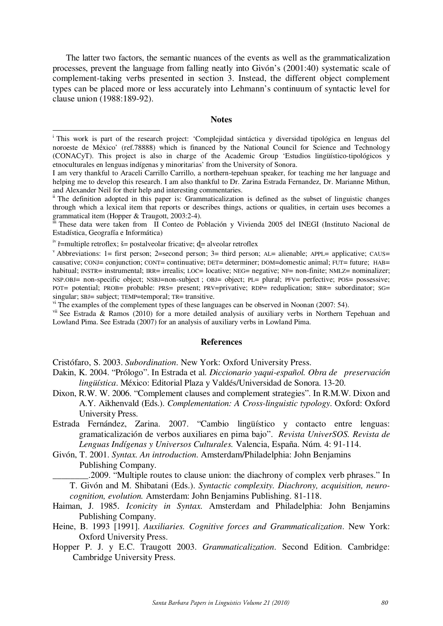The latter two factors, the semantic nuances of the events as well as the grammaticalization processes, prevent the language from falling neatly into Givón's (2001:40) systematic scale of complement-taking verbs presented in section 3. Instead, the different object complement types can be placed more or less accurately into Lehmann's continuum of syntactic level for clause union (1988:189-92).

## **Notes**

 $\overline{a}$ 

vii See Estrada & Ramos (2010) for a more detailed analysis of auxiliary verbs in Northern Tepehuan and Lowland Pima. See Estrada (2007) for an analysis of auxiliary verbs in Lowland Pima.

#### **References**

Cristófaro, S. 2003. *Subordination*. New York: Oxford University Press.

- Dakin, K. 2004. "Prólogo". In Estrada et al. *Diccionario yaqui-español. Obra de preservación lingüística*. México: Editorial Plaza y Valdés/Universidad de Sonora. 13-20.
- Dixon, R.W. W. 2006. "Complement clauses and complement strategies". In R.M.W. Dixon and A.Y. Aikhenvald (Eds.). *Complementation: A Cross-linguistic typology*. Oxford: Oxford University Press.
- Estrada Fernández, Zarina. 2007. "Cambio lingüístico y contacto entre lenguas: gramaticalización de verbos auxiliares en pima bajo". *Revista UniverSOS. Revista de Lenguas Indígenas y Universos Culturales.* Valencia, España. Núm. 4: 91-114.
- Givón, T. 2001. *Syntax. An introduction*. Amsterdam/Philadelphia: John Benjamins Publishing Company.

\_\_\_\_\_\_\_\_.2009. "Multiple routes to clause union: the diachrony of complex verb phrases." In

T. Givón and M. Shibatani (Eds.). *Syntactic complexity. Diachrony, acquisition, neurocognition, evolution.* Amsterdam: John Benjamins Publishing. 81-118.

- Haiman, J. 1985. *Iconicity in Syntax.* Amsterdam and Philadelphia: John Benjamins Publishing Company.
- Heine, B. 1993 [1991]. *Auxiliaries. Cognitive forces and Grammaticalization*. New York: Oxford University Press.
- Hopper P. J. y E.C. Traugott 2003. *Grammaticalization*. Second Edition. Cambridge: Cambridge University Press.

<sup>&</sup>lt;sup>i</sup> This work is part of the research project: 'Complejidad sintáctica y diversidad tipológica en lenguas del noroeste de México' (ref.78888) which is financed by the National Council for Science and Technology (CONACyT). This project is also in charge of the Academic Group 'Estudios lingüístico-tipológicos y etnoculturales en lenguas indígenas y minoritarias' from the University of Sonora.

I am very thankful to Araceli Carrillo Carrillo, a northern-tepehuan speaker, for teaching me her language and helping me to develop this research. I am also thankful to Dr. Zarina Estrada Fernandez, Dr. Marianne Mithun, and Alexander Neil for their help and interesting commentaries.<br>ii The definition adopted in this paper is: Grammaticalization is defined as the subset of linguistic changes

through which a lexical item that reports or describes things, actions or qualities, in certain uses becomes a grammatical item (Hopper & Traugott, 2003:2-4).

iii These data were taken from II Conteo de Población y Vivienda 2005 del INEGI (Instituto Nacional de Estadística, Geografía e Informática)

 $i<sup>v</sup>$  ř=multiple retroflex; š= postalveolar fricative;  $d=$  alveolar retroflex

 $\alpha$ <sup>v</sup> Abbreviations: 1= first person; 2=second person; 3= third person; AL= alienable; APPL= applicative; CAUS= causative; CONJ= conjunction; CONT= continuative; DET= determiner; DOM=domestic animal; FUT= future; HAB= habitual; INSTR= instrumental; IRR= irrealis; LOC= locative; NEG= negative; NF= non-finite; NMLZ= nominalizer; NSP.OBJ= non-specific object; NSBJ=non-subject ; OBJ= object; PL= plural; PFV= perfective; POS= possessive; POT= potential; PROB= probable: PRS= present; PRV=privative; RDP= reduplication; SBR= subordinator; SG= singular; SBJ= subject; TEMP=temporal; TR= transitive.

vi The examples of the complement types of these languages can be observed in Noonan (2007: 54).